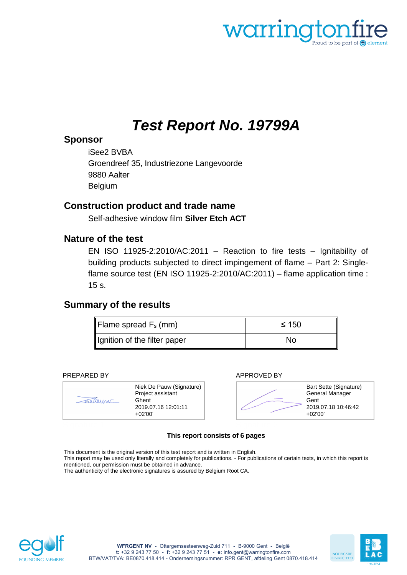<span id="page-0-1"></span><span id="page-0-0"></span>

# *Test Report No. 19799A*

# **Sponsor**

iSee2 BVBA Groendreef 35, Industriezone Langevoorde 9880 Aalter Belgium

# **Construction product and trade name**

Self-adhesive window film **Silver Etch ACT**

# **Nature of the test**

EN ISO 11925-2:2010/AC:2011 – Reaction to fire tests – Ignitability of building products subjected to direct impingement of flame – Part 2: Singleflame source test (EN ISO 11925-2:2010/AC:2011) – flame application time : 15 s.

# **Summary of the results**

| Flame spread $F_s$ (mm)      | ≤ 150 |
|------------------------------|-------|
| Ignition of the filter paper | No    |

#### PREPARED BY APPROVED BY





#### **This report consists of 6 pages**

This document is the original version of this test report and is written in English. This report may be used only literally and completely for publications. - For publications of certain texts, in which this report is mentioned, our permission must be obtained in advance. The authenticity of the electronic signatures is assured by Belgium Root CA.



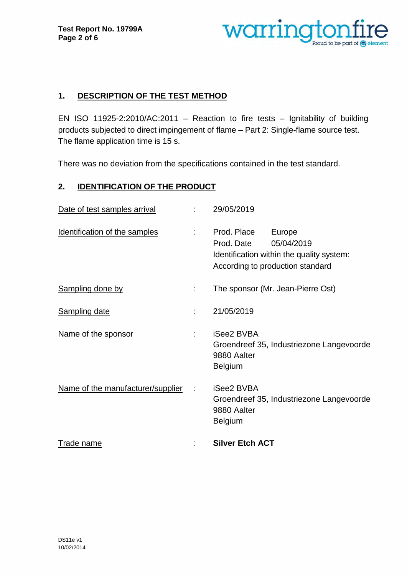

# **1. DESCRIPTION OF THE TEST METHOD**

EN ISO 11925-2:2010/AC:2011 – Reaction to fire tests – Ignitability of building products subjected to direct impingement of flame – Part 2: Single-flame source test. The flame application time is 15 s.

There was no deviation from the specifications contained in the test standard.

# **2. IDENTIFICATION OF THE PRODUCT**

| Date of test samples arrival      |                  | 29/05/2019                                                                                                                         |
|-----------------------------------|------------------|------------------------------------------------------------------------------------------------------------------------------------|
| Identification of the samples     | $\mathbb{R}^{n}$ | Prod. Place<br>Europe<br>Prod. Date<br>05/04/2019<br>Identification within the quality system:<br>According to production standard |
| <b>Sampling done by</b>           |                  | The sponsor (Mr. Jean-Pierre Ost)                                                                                                  |
| <b>Sampling date</b>              | ٠                | 21/05/2019                                                                                                                         |
| Name of the sponsor               |                  | iSee2 BVBA<br>Groendreef 35, Industriezone Langevoorde<br>9880 Aalter<br><b>Belgium</b>                                            |
| Name of the manufacturer/supplier |                  | <b>iSee2 BVBA</b><br>Groendreef 35, Industriezone Langevoorde<br>9880 Aalter<br><b>Belgium</b>                                     |
| Trade name                        |                  | <b>Silver Etch ACT</b>                                                                                                             |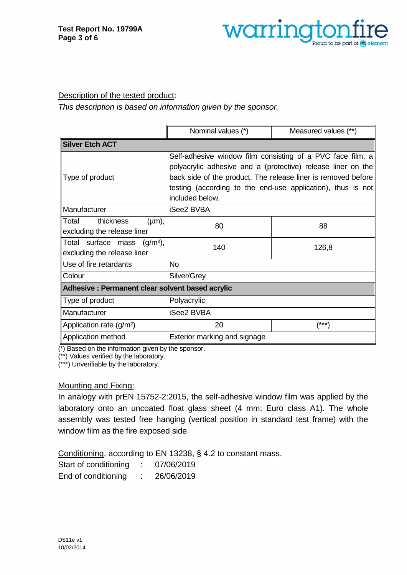

#### Description of the tested product:

*This description is based on information given by the sponsor.* 

|                                                  | Nominal values (*)                                            | Measured values (**) |  |  |  |
|--------------------------------------------------|---------------------------------------------------------------|----------------------|--|--|--|
| <b>Silver Etch ACT</b>                           |                                                               |                      |  |  |  |
|                                                  | Self-adhesive window film consisting of a PVC face film, a    |                      |  |  |  |
|                                                  | polyacrylic adhesive and a (protective) release liner on the  |                      |  |  |  |
| Type of product                                  | back side of the product. The release liner is removed before |                      |  |  |  |
|                                                  | testing (according to the end-use application), thus is not   |                      |  |  |  |
|                                                  | included below.                                               |                      |  |  |  |
| Manufacturer                                     | iSee2 BVBA                                                    |                      |  |  |  |
| <b>Total</b><br>thickness<br>$(\mu m)$ ,         | 80                                                            | 88                   |  |  |  |
| excluding the release liner                      |                                                               |                      |  |  |  |
| Total surface mass<br>$(g/m2)$ ,                 | 140                                                           | 126,8                |  |  |  |
| excluding the release liner                      |                                                               |                      |  |  |  |
| Use of fire retardants                           | <b>No</b>                                                     |                      |  |  |  |
| Colour                                           | Silver/Grey                                                   |                      |  |  |  |
| Adhesive : Permanent clear solvent based acrylic |                                                               |                      |  |  |  |
| Type of product                                  | Polyacrylic                                                   |                      |  |  |  |
| Manufacturer                                     | <b>iSee2 BVBA</b>                                             |                      |  |  |  |
| Application rate (g/m <sup>2</sup> )             | 20<br>(***)                                                   |                      |  |  |  |
| Application method                               | Exterior marking and signage                                  |                      |  |  |  |

(\*) Based on the information given by the sponsor.

(\*\*) Values verified by the laboratory.

(\*\*\*) Unverifiable by the laboratory.

#### Mounting and Fixing:

In analogy with prEN 15752-2:2015, the self-adhesive window film was applied by the laboratory onto an uncoated float glass sheet (4 mm; Euro class A1). The whole assembly was tested free hanging (vertical position in standard test frame) with the window film as the fire exposed side.

Conditioning, according to EN 13238, § 4.2 to constant mass.

Start of conditioning : 07/06/2019

End of conditioning : 26/06/2019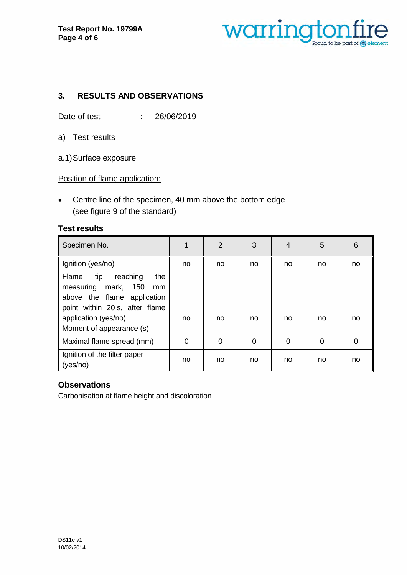

# **3. RESULTS AND OBSERVATIONS**

Date of test : 26/06/2019

- a) Test results
- a.1) Surface exposure

Position of flame application:

• Centre line of the specimen, 40 mm above the bottom edge (see figure 9 of the standard)

#### **Test results**

| Specimen No.                                                                                                                        |                | $\overline{2}$ | 3              | 4        | 5        | 6        |
|-------------------------------------------------------------------------------------------------------------------------------------|----------------|----------------|----------------|----------|----------|----------|
| Ignition (yes/no)                                                                                                                   | no             | no             | no             | no       | no       | no       |
| reaching<br>the<br>tip<br>Flame<br>150<br>measuring<br>mark,<br>mm<br>above the flame application<br>point within 20 s, after flame |                |                |                |          |          |          |
| application (yes/no)                                                                                                                | no             | no             | no             | no       | no       | no       |
| Moment of appearance (s)                                                                                                            | $\blacksquare$ |                |                |          |          |          |
| Maximal flame spread (mm)                                                                                                           | $\overline{0}$ | $\overline{0}$ | $\overline{0}$ | $\Omega$ | $\Omega$ | $\Omega$ |
| Ignition of the filter paper<br>(yes/no)                                                                                            | no             | no             | no             | no       | no       | no       |

### **Observations**

Carbonisation at flame height and discoloration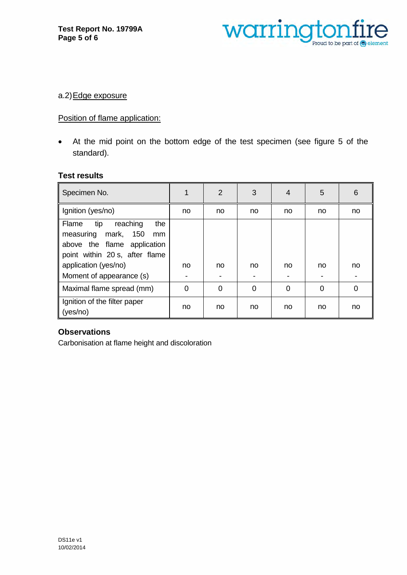

#### a.2) Edge exposure

# Position of flame application:

• At the mid point on the bottom edge of the test specimen (see figure 5 of the standard).

#### **Test results**

| Specimen No.                                                                                                                                          | 1              | $\overline{2}$ | 3  | 4  | 5  | 6  |
|-------------------------------------------------------------------------------------------------------------------------------------------------------|----------------|----------------|----|----|----|----|
| Ignition (yes/no)                                                                                                                                     | no             | no             | no | no | no | no |
| tip<br>reaching<br>the<br>Flame<br>measuring mark, 150<br>mm<br>above the flame application<br>point within 20 s, after flame<br>application (yes/no) | no             | no             | no | no | no | no |
| Moment of appearance (s)                                                                                                                              |                |                |    |    |    |    |
| Maximal flame spread (mm)                                                                                                                             | $\overline{0}$ | 0              | 0  | 0  | 0  | 0  |
| Ignition of the filter paper<br>(yes/no)                                                                                                              | no             | no             | no | no | no | no |

### **Observations**

Carbonisation at flame height and discoloration